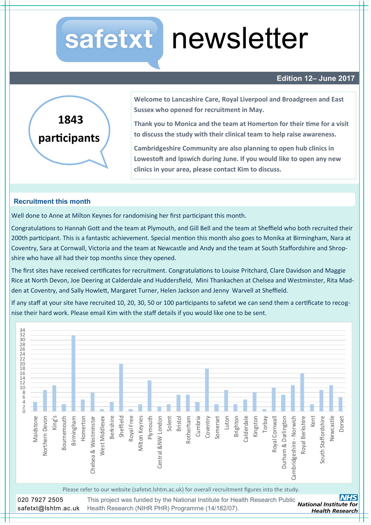# safetxt newsletter

# **Edition 12– June 2017**



**Welcome to Lancashire Care, Royal Liverpool and Broadgreen and East Sussex who opened for recruitment in May.** 

**Thank you to Monica and the team at Homerton for their time for a visit to discuss the study with their clinical team to help raise awareness.** 

**Cambridgeshire Community are also planning to open hub clinics in Lowestoft and Ipswich during June. If you would like to open any new clinics in your area, please contact Kim to discuss.** 

### **Recruitment this month**

Well done to Anne at Milton Keynes for randomising her first participant this month.

Congratulations to Hannah Gott and the team at Plymouth, and Gill Bell and the team at Sheffield who both recruited their 200th participant. This is a fantastic achievement. Special mention this month also goes to Monika at Birmingham, Nara at Coventry, Sara at Cornwall, Victoria and the team at Newcastle and Andy and the team at South Staffordshire and Shropshire who have all had their top months since they opened.

The first sites have received certificates for recruitment. Congratulations to Louise Pritchard, Clare Davidson and Maggie Rice at North Devon, Joe Deering at Calderdale and Huddersfield, Mini Thankachen at Chelsea and Westminster, Rita Madden at Coventry, and Sally Howlett, Margaret Turner, Helen Jackson and Jenny Warvell at Sheffield.

If any staff at your site have recruited 10, 20, 30, 50 or 100 participants to safetxt we can send them a certificate to recognise their hard work. Please email Kim with the staff details if you would like one to be sent.